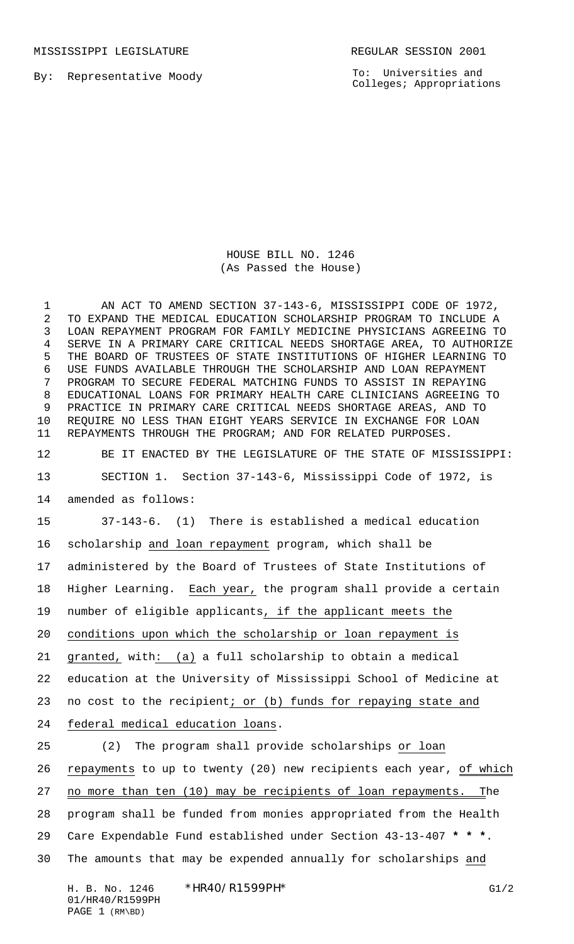MISSISSIPPI LEGISLATURE **REGULAR SESSION 2001** 

By: Representative Moody

To: Universities and Colleges; Appropriations

HOUSE BILL NO. 1246 (As Passed the House)

1 AN ACT TO AMEND SECTION 37-143-6, MISSISSIPPI CODE OF 1972, TO EXPAND THE MEDICAL EDUCATION SCHOLARSHIP PROGRAM TO INCLUDE A LOAN REPAYMENT PROGRAM FOR FAMILY MEDICINE PHYSICIANS AGREEING TO SERVE IN A PRIMARY CARE CRITICAL NEEDS SHORTAGE AREA, TO AUTHORIZE THE BOARD OF TRUSTEES OF STATE INSTITUTIONS OF HIGHER LEARNING TO USE FUNDS AVAILABLE THROUGH THE SCHOLARSHIP AND LOAN REPAYMENT PROGRAM TO SECURE FEDERAL MATCHING FUNDS TO ASSIST IN REPAYING EDUCATIONAL LOANS FOR PRIMARY HEALTH CARE CLINICIANS AGREEING TO PRACTICE IN PRIMARY CARE CRITICAL NEEDS SHORTAGE AREAS, AND TO REQUIRE NO LESS THAN EIGHT YEARS SERVICE IN EXCHANGE FOR LOAN REPAYMENTS THROUGH THE PROGRAM; AND FOR RELATED PURPOSES.

BE IT ENACTED BY THE LEGISLATURE OF THE STATE OF MISSISSIPPI:

SECTION 1. Section 37-143-6, Mississippi Code of 1972, is

amended as follows:

 37-143-6. (1) There is established a medical education scholarship and loan repayment program, which shall be administered by the Board of Trustees of State Institutions of Higher Learning. Each year, the program shall provide a certain number of eligible applicants, if the applicant meets the conditions upon which the scholarship or loan repayment is granted, with: (a) a full scholarship to obtain a medical education at the University of Mississippi School of Medicine at 23 no cost to the recipient; or (b) funds for repaying state and federal medical education loans.

 (2) The program shall provide scholarships or loan 26 repayments to up to twenty (20) new recipients each year, of which 27 no more than ten (10) may be recipients of loan repayments. The program shall be funded from monies appropriated from the Health Care Expendable Fund established under Section 43-13-407 **\* \* \***. The amounts that may be expended annually for scholarships and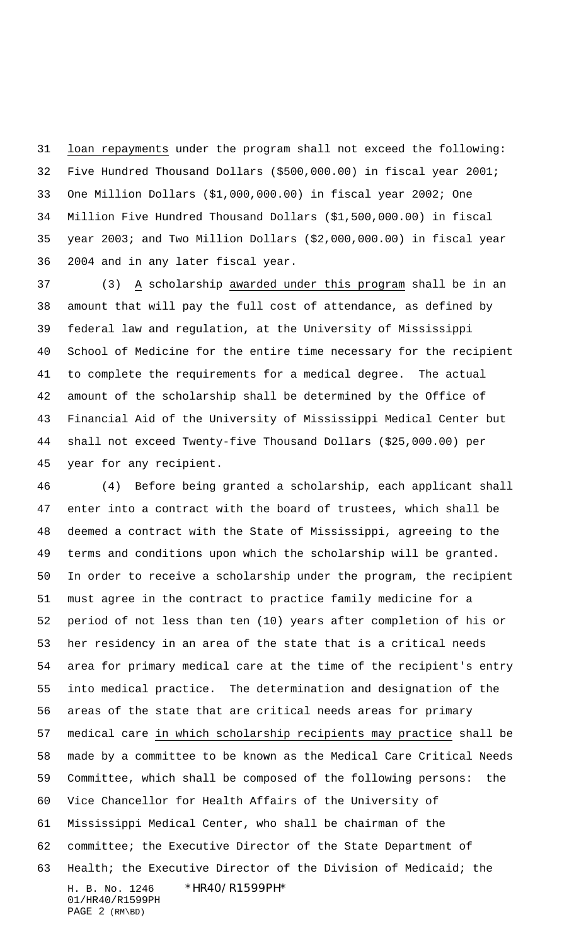loan repayments under the program shall not exceed the following: Five Hundred Thousand Dollars (\$500,000.00) in fiscal year 2001; One Million Dollars (\$1,000,000.00) in fiscal year 2002; One Million Five Hundred Thousand Dollars (\$1,500,000.00) in fiscal year 2003; and Two Million Dollars (\$2,000,000.00) in fiscal year 2004 and in any later fiscal year.

 (3) A scholarship awarded under this program shall be in an amount that will pay the full cost of attendance, as defined by federal law and regulation, at the University of Mississippi School of Medicine for the entire time necessary for the recipient to complete the requirements for a medical degree. The actual amount of the scholarship shall be determined by the Office of Financial Aid of the University of Mississippi Medical Center but shall not exceed Twenty-five Thousand Dollars (\$25,000.00) per year for any recipient.

H. B. No. 1246 \*HR40/R1599PH\* 01/HR40/R1599PH (4) Before being granted a scholarship, each applicant shall enter into a contract with the board of trustees, which shall be deemed a contract with the State of Mississippi, agreeing to the terms and conditions upon which the scholarship will be granted. In order to receive a scholarship under the program, the recipient must agree in the contract to practice family medicine for a period of not less than ten (10) years after completion of his or her residency in an area of the state that is a critical needs area for primary medical care at the time of the recipient's entry into medical practice. The determination and designation of the areas of the state that are critical needs areas for primary medical care in which scholarship recipients may practice shall be made by a committee to be known as the Medical Care Critical Needs Committee, which shall be composed of the following persons: the Vice Chancellor for Health Affairs of the University of Mississippi Medical Center, who shall be chairman of the committee; the Executive Director of the State Department of Health; the Executive Director of the Division of Medicaid; the

PAGE 2 (RM\BD)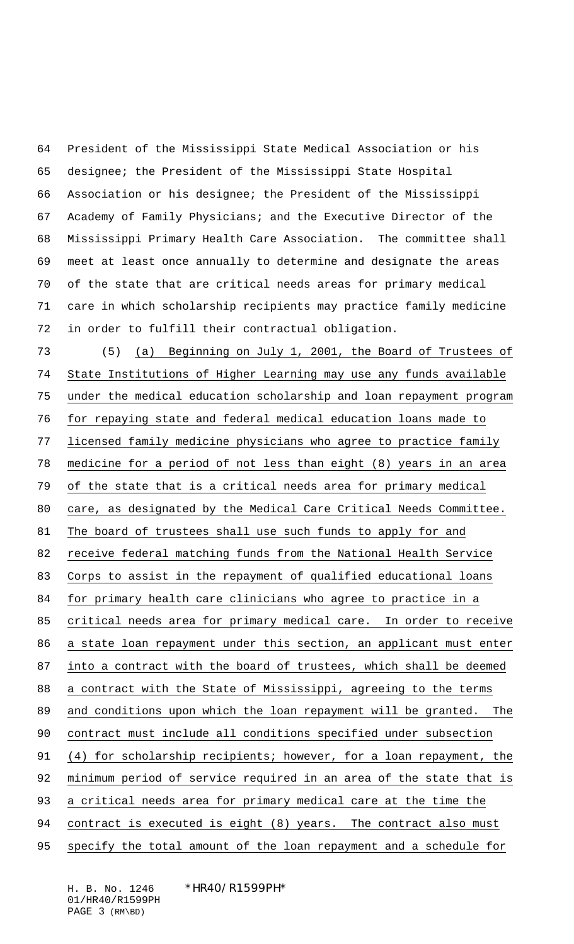President of the Mississippi State Medical Association or his designee; the President of the Mississippi State Hospital Association or his designee; the President of the Mississippi Academy of Family Physicians; and the Executive Director of the Mississippi Primary Health Care Association. The committee shall meet at least once annually to determine and designate the areas of the state that are critical needs areas for primary medical care in which scholarship recipients may practice family medicine in order to fulfill their contractual obligation.

 (5) (a) Beginning on July 1, 2001, the Board of Trustees of State Institutions of Higher Learning may use any funds available under the medical education scholarship and loan repayment program for repaying state and federal medical education loans made to licensed family medicine physicians who agree to practice family medicine for a period of not less than eight (8) years in an area of the state that is a critical needs area for primary medical care, as designated by the Medical Care Critical Needs Committee. 81 The board of trustees shall use such funds to apply for and receive federal matching funds from the National Health Service Corps to assist in the repayment of qualified educational loans for primary health care clinicians who agree to practice in a 85 critical needs area for primary medical care. In order to receive a state loan repayment under this section, an applicant must enter into a contract with the board of trustees, which shall be deemed a contract with the State of Mississippi, agreeing to the terms and conditions upon which the loan repayment will be granted. The contract must include all conditions specified under subsection (4) for scholarship recipients; however, for a loan repayment, the minimum period of service required in an area of the state that is a critical needs area for primary medical care at the time the 94 contract is executed is eight (8) years. The contract also must

95 specify the total amount of the loan repayment and a schedule for

H. B. No. 1246 \*HR40/R1599PH\* 01/HR40/R1599PH PAGE 3 (RM\BD)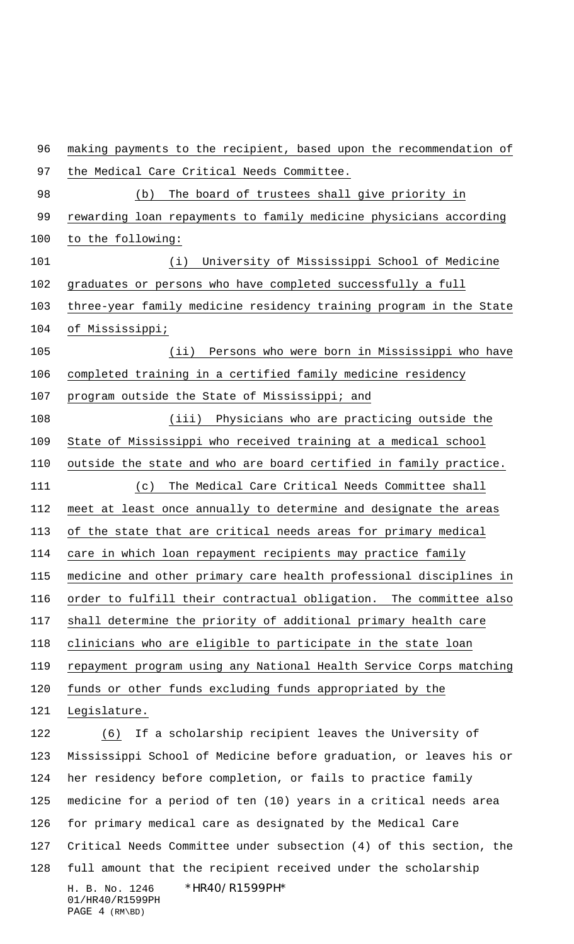H. B. No. 1246 \*HR40/R1599PH\* 01/HR40/R1599PH PAGE 4 (RM\BD) making payments to the recipient, based upon the recommendation of the Medical Care Critical Needs Committee. (b) The board of trustees shall give priority in 99 rewarding loan repayments to family medicine physicians according to the following: (i) University of Mississippi School of Medicine graduates or persons who have completed successfully a full three-year family medicine residency training program in the State of Mississippi; (ii) Persons who were born in Mississippi who have completed training in a certified family medicine residency program outside the State of Mississippi; and (iii) Physicians who are practicing outside the State of Mississippi who received training at a medical school outside the state and who are board certified in family practice. (c) The Medical Care Critical Needs Committee shall meet at least once annually to determine and designate the areas of the state that are critical needs areas for primary medical care in which loan repayment recipients may practice family medicine and other primary care health professional disciplines in order to fulfill their contractual obligation. The committee also shall determine the priority of additional primary health care clinicians who are eligible to participate in the state loan repayment program using any National Health Service Corps matching funds or other funds excluding funds appropriated by the Legislature. 122 (6) If a scholarship recipient leaves the University of Mississippi School of Medicine before graduation, or leaves his or her residency before completion, or fails to practice family medicine for a period of ten (10) years in a critical needs area for primary medical care as designated by the Medical Care Critical Needs Committee under subsection (4) of this section, the full amount that the recipient received under the scholarship